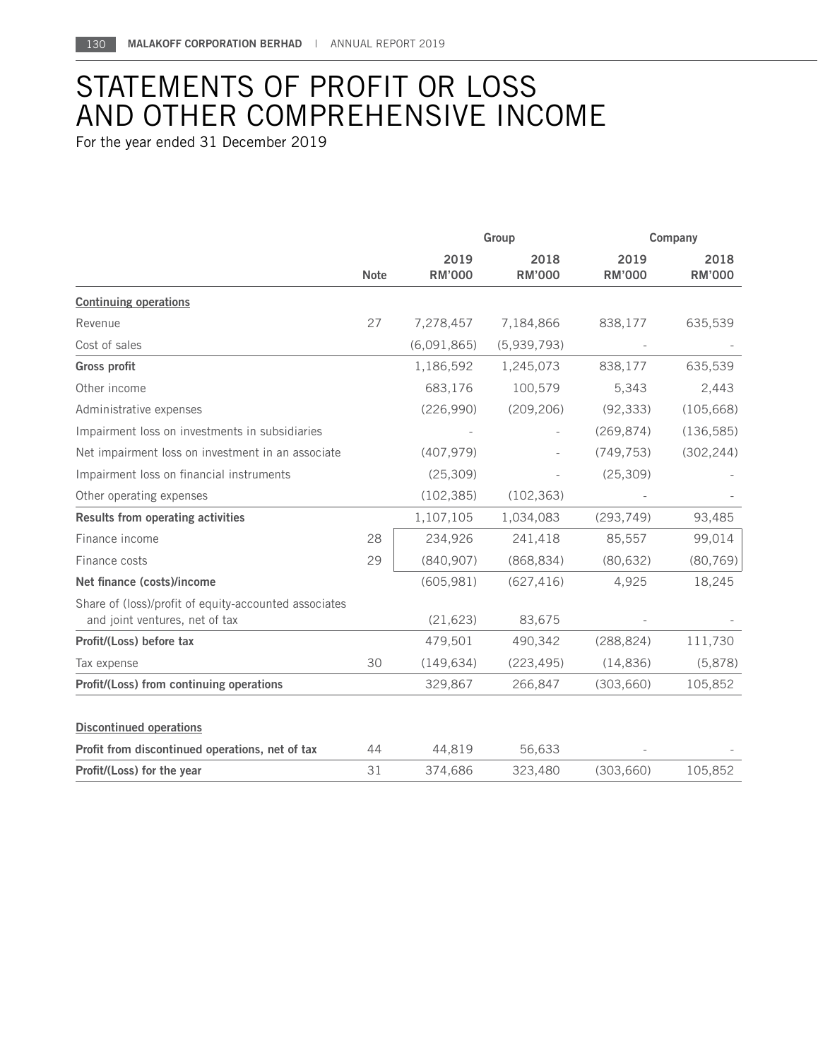## STATEMENTS OF PROFIT OR LOSS AND OTHER COMPREHENSIVE INCOME

For the year ended 31 December 2019

|                                                                                         |             | Group                 |                       | Company               |                       |
|-----------------------------------------------------------------------------------------|-------------|-----------------------|-----------------------|-----------------------|-----------------------|
|                                                                                         | <b>Note</b> | 2019<br><b>RM'000</b> | 2018<br><b>RM'000</b> | 2019<br><b>RM'000</b> | 2018<br><b>RM'000</b> |
| <b>Continuing operations</b>                                                            |             |                       |                       |                       |                       |
| Revenue                                                                                 | 27          | 7,278,457             | 7,184,866             | 838,177               | 635,539               |
| Cost of sales                                                                           |             | (6,091,865)           | (5,939,793)           |                       |                       |
| <b>Gross profit</b>                                                                     |             | 1,186,592             | 1,245,073             | 838,177               | 635,539               |
| Other income                                                                            |             | 683,176               | 100,579               | 5,343                 | 2,443                 |
| Administrative expenses                                                                 |             | (226,990)             | (209, 206)            | (92, 333)             | (105, 668)            |
| Impairment loss on investments in subsidiaries                                          |             |                       |                       | (269, 874)            | (136, 585)            |
| Net impairment loss on investment in an associate                                       |             | (407, 979)            |                       | (749, 753)            | (302, 244)            |
| Impairment loss on financial instruments                                                |             | (25, 309)             |                       | (25, 309)             |                       |
| Other operating expenses                                                                |             | (102, 385)            | (102, 363)            |                       |                       |
| Results from operating activities                                                       |             | 1,107,105             | 1,034,083             | (293, 749)            | 93,485                |
| Finance income                                                                          | 28          | 234,926               | 241,418               | 85,557                | 99,014                |
| Finance costs                                                                           | 29          | (840, 907)            | (868, 834)            | (80, 632)             | (80, 769)             |
| Net finance (costs)/income                                                              |             | (605, 981)            | (627, 416)            | 4,925                 | 18,245                |
| Share of (loss)/profit of equity-accounted associates<br>and joint ventures, net of tax |             | (21, 623)             | 83,675                |                       |                       |
| Profit/(Loss) before tax                                                                |             | 479,501               | 490,342               | (288, 824)            | 111,730               |
| Tax expense                                                                             | 30          | (149, 634)            | (223, 495)            | (14, 836)             | (5,878)               |
| Profit/(Loss) from continuing operations                                                |             | 329,867               | 266,847               | (303, 660)            | 105,852               |
| <b>Discontinued operations</b>                                                          |             |                       |                       |                       |                       |
| Profit from discontinued operations, net of tax                                         | 44          | 44,819                | 56,633                |                       |                       |
| Profit/(Loss) for the year                                                              | 31          | 374,686               | 323,480               | (303,660)             | 105,852               |